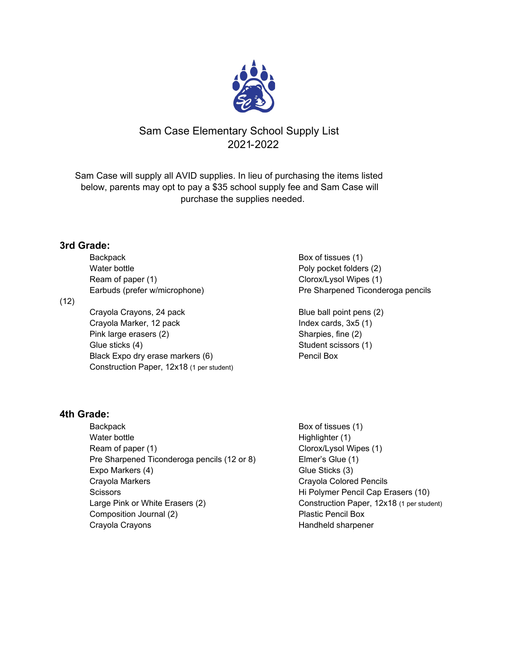

# Sam Case Elementary School Supply List 2021-2022

Sam Case will supply all AVID supplies. In lieu of purchasing the items listed below, parents may opt to pay a \$35 school supply fee and Sam Case will purchase the supplies needed.

## **3rd Grade:**

(12)

| E |
|---|
|   |
|   |
|   |
|   |
|   |
|   |

#### Box of tissues (1) Poly pocket folders (2) Clorox/Lysol Wipes (1) Pre Sharpened Ticonderoga pencils

Blue ball point pens (2) Index cards,  $3x5(1)$ Sharpies, fine (2) Student scissors (1) Pencil Box

# **4th Grade:**

Backpack Backpack Box of tissues (1) Water bottle **Highlighter (1) Highlighter (1)** Ream of paper (1) Clorox/Lysol Wipes (1) Pre Sharpened Ticonderoga pencils (12 or 8) Elmer's Glue (1) Expo Markers (4) Glue Sticks (3) Crayola Markers Crayola Colored Pencils Scissors **Exercise 2** Constant Milledge Pencil Cap Erasers (10) Large Pink or White Erasers (2) Construction Paper, 12x18 (1 per student) Composition Journal (2) Composition Summan (2) Crayola Crayons **Handheld sharpener** Handheld sharpener